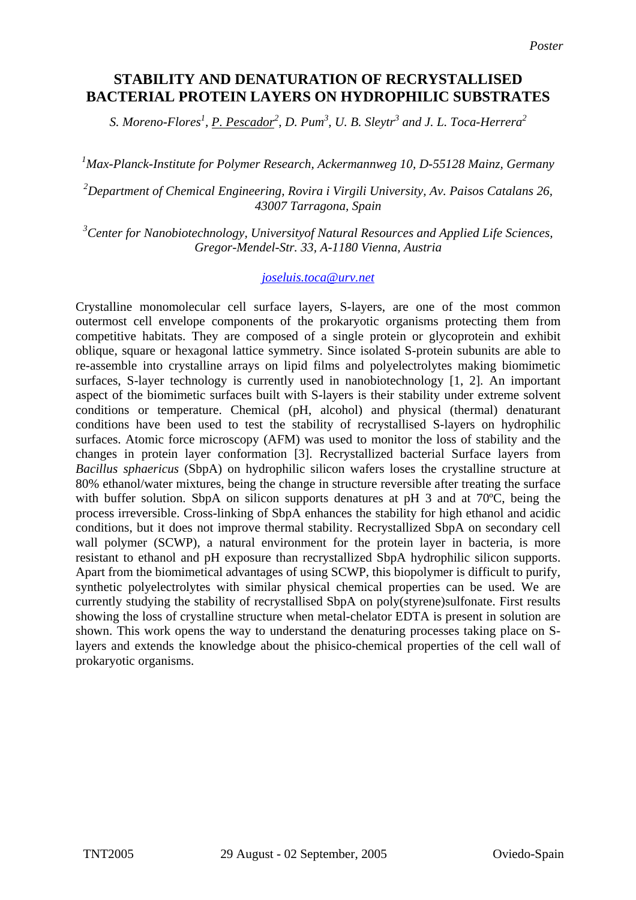## **STABILITY AND DENATURATION OF RECRYSTALLISED BACTERIAL PROTEIN LAYERS ON HYDROPHILIC SUBSTRATES**

*S. Moreno-Flores<sup>1</sup> , P. Pescador<sup>2</sup> , D. Pum3 , U. B. Sleytr<sup>3</sup> and J. L. Toca-Herrera<sup>2</sup>*

*1 Max-Planck-Institute for Polymer Research, Ackermannweg 10, D-55128 Mainz, Germany* 

*2 Department of Chemical Engineering, Rovira i Virgili University, Av. Paisos Catalans 26, 43007 Tarragona, Spain*

*3 Center for Nanobiotechnology, Universityof Natural Resources and Applied Life Sciences, Gregor-Mendel-Str. 33, A-1180 Vienna, Austria* 

## *[joseluis.toca@urv.net](mailto:joseluis.toca@urv.net)*

Crystalline monomolecular cell surface layers, S-layers, are one of the most common outermost cell envelope components of the prokaryotic organisms protecting them from competitive habitats. They are composed of a single protein or glycoprotein and exhibit oblique, square or hexagonal lattice symmetry. Since isolated S-protein subunits are able to re-assemble into crystalline arrays on lipid films and polyelectrolytes making biomimetic surfaces, S-layer technology is currently used in nanobiotechnology [1, 2]. An important aspect of the biomimetic surfaces built with S-layers is their stability under extreme solvent conditions or temperature. Chemical (pH, alcohol) and physical (thermal) denaturant conditions have been used to test the stability of recrystallised S-layers on hydrophilic surfaces. Atomic force microscopy (AFM) was used to monitor the loss of stability and the changes in protein layer conformation [3]. Recrystallized bacterial Surface layers from *Bacillus sphaericus* (SbpA) on hydrophilic silicon wafers loses the crystalline structure at 80% ethanol/water mixtures, being the change in structure reversible after treating the surface with buffer solution. SbpA on silicon supports denatures at pH 3 and at 70°C, being the process irreversible. Cross-linking of SbpA enhances the stability for high ethanol and acidic conditions, but it does not improve thermal stability. Recrystallized SbpA on secondary cell wall polymer (SCWP), a natural environment for the protein layer in bacteria, is more resistant to ethanol and pH exposure than recrystallized SbpA hydrophilic silicon supports. Apart from the biomimetical advantages of using SCWP, this biopolymer is difficult to purify, synthetic polyelectrolytes with similar physical chemical properties can be used. We are currently studying the stability of recrystallised SbpA on poly(styrene)sulfonate. First results showing the loss of crystalline structure when metal-chelator EDTA is present in solution are shown. This work opens the way to understand the denaturing processes taking place on Slayers and extends the knowledge about the phisico-chemical properties of the cell wall of prokaryotic organisms.